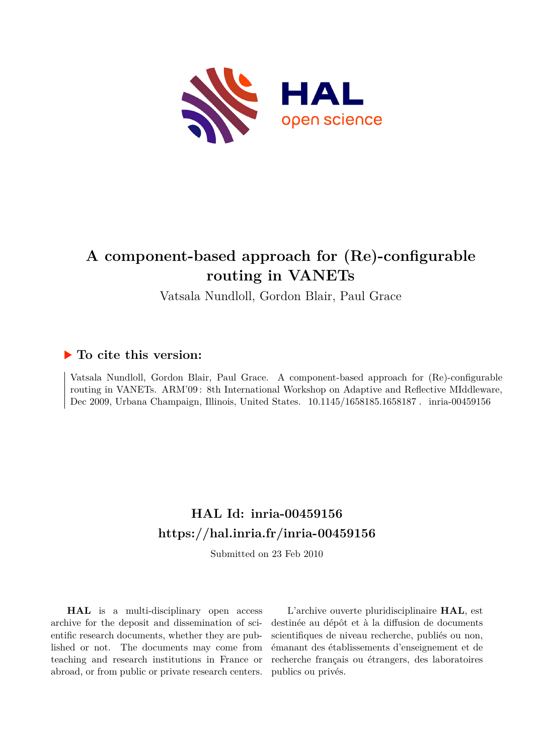

# **A component-based approach for (Re)-configurable routing in VANETs**

Vatsala Nundloll, Gordon Blair, Paul Grace

# **To cite this version:**

Vatsala Nundloll, Gordon Blair, Paul Grace. A component-based approach for (Re)-configurable routing in VANETs. ARM'09 : 8th International Workshop on Adaptive and Reflective MIddleware, Dec 2009, Urbana Champaign, Illinois, United States. 10.1145/1658185.1658187. inria-00459156

# **HAL Id: inria-00459156 <https://hal.inria.fr/inria-00459156>**

Submitted on 23 Feb 2010

**HAL** is a multi-disciplinary open access archive for the deposit and dissemination of scientific research documents, whether they are published or not. The documents may come from teaching and research institutions in France or abroad, or from public or private research centers.

L'archive ouverte pluridisciplinaire **HAL**, est destinée au dépôt et à la diffusion de documents scientifiques de niveau recherche, publiés ou non, émanant des établissements d'enseignement et de recherche français ou étrangers, des laboratoires publics ou privés.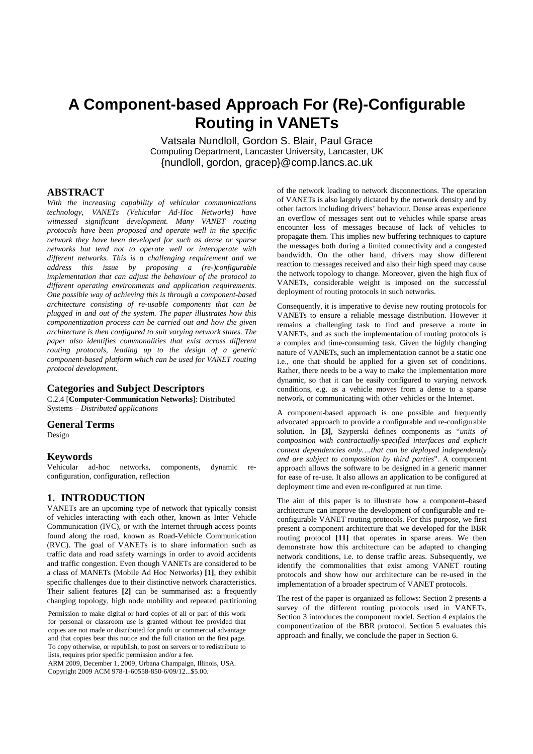# **A Component-based Approach For (Re)-Configurable Routing in VANETs**

Vatsala Nundloll, Gordon S. Blair, Paul Grace Computing Department, Lancaster University, Lancaster, UK {nundloll, gordon, gracep}@comp.lancs.ac.uk

## **ABSTRACT**

*With the increasing capability of vehicular communications technology, VANETs (Vehicular Ad-Hoc Networks) have witnessed significant development. Many VANET routing protocols have been proposed and operate well in the specific network they have been developed for such as dense or sparse networks but tend not to operate well or interoperate with different networks. This is a challenging requirement and we address this issue by proposing a (re-)configurable implementation that can adjust the behaviour of the protocol to different operating environments and application requirements. One possible way of achieving this is through a component-based architecture consisting of re-usable components that can be plugged in and out of the system. The paper illustrates how this componentization process can be carried out and how the given architecture is then configured to suit varying network states. The paper also identifies commonalities that exist across different routing protocols, leading up to the design of a generic component-based platform which can be used for VANET routing protocol development.* 

#### **Categories and Subject Descriptors**

C.2.4 [**Computer-Communication Networks**]: Distributed Systems – *Distributed applications*

#### **General Terms**

Design

#### **Keywords**

Vehicular ad-hoc networks, components, dynamic reconfiguration, configuration, reflection

## **1. INTRODUCTION**

VANETs are an upcoming type of network that typically consist of vehicles interacting with each other, known as Inter Vehicle Communication (IVC), or with the Internet through access points found along the road, known as Road-Vehicle Communication (RVC). The goal of VANETs is to share information such as traffic data and road safety warnings in order to avoid accidents and traffic congestion. Even though VANETs are considered to be a class of MANETs (Mobile Ad Hoc Networks) **[1]**, they exhibit specific challenges due to their distinctive network characteristics. Their salient features **[2]** can be summarised as: a frequently changing topology, high node mobility and repeated partitioning

Permission to make digital or hard copies of all or part of this work for personal or classroom use is granted without fee provided that copies are not made or distributed for profit or commercial advantage and that copies bear this notice and the full citation on the first page. To copy otherwise, or republish, to post on servers or to redistribute to lists, requires prior specific permission and/or a fee.

ARM 2009, December 1, 2009, Urbana Champaign, Illinois, USA. Copyright 2009 ACM 978-1-60558-850-6/09/12...\$5.00.

of the network leading to network disconnections. The operation of VANETs is also largely dictated by the network density and by other factors including drivers' behaviour. Dense areas experience an overflow of messages sent out to vehicles while sparse areas encounter loss of messages because of lack of vehicles to propagate them. This implies new buffering techniques to capture the messages both during a limited connectivity and a congested bandwidth. On the other hand, drivers may show different reaction to messages received and also their high speed may cause the network topology to change. Moreover, given the high flux of VANETs, considerable weight is imposed on the successful deployment of routing protocols in such networks.

Consequently, it is imperative to devise new routing protocols for VANETs to ensure a reliable message distribution. However it remains a challenging task to find and preserve a route in VANETs, and as such the implementation of routing protocols is a complex and time-consuming task. Given the highly changing nature of VANETs, such an implementation cannot be a static one i.e., one that should be applied for a given set of conditions. Rather, there needs to be a way to make the implementation more dynamic, so that it can be easily configured to varying network conditions, e.g. as a vehicle moves from a dense to a sparse network, or communicating with other vehicles or the Internet.

A component-based approach is one possible and frequently advocated approach to provide a configurable and re-configurable solution. In **[3]**, Szyperski defines components as "*units of composition with contractually-specified interfaces and explicit context dependencies only….that can be deployed independently and are subject to composition by third parties*". A component approach allows the software to be designed in a generic manner for ease of re-use. It also allows an application to be configured at deployment time and even re-configured at run time.

The aim of this paper is to illustrate how a component–based architecture can improve the development of configurable and reconfigurable VANET routing protocols. For this purpose, we first present a component architecture that we developed for the BBR routing protocol **[11]** that operates in sparse areas. We then demonstrate how this architecture can be adapted to changing network conditions, i.e. to dense traffic areas. Subsequently, we identify the commonalities that exist among VANET routing protocols and show how our architecture can be re-used in the implementation of a broader spectrum of VANET protocols.

The rest of the paper is organized as follows: Section 2 presents a survey of the different routing protocols used in VANETs. Section 3 introduces the component model. Section 4 explains the componentization of the BBR protocol. Section 5 evaluates this approach and finally, we conclude the paper in Section 6.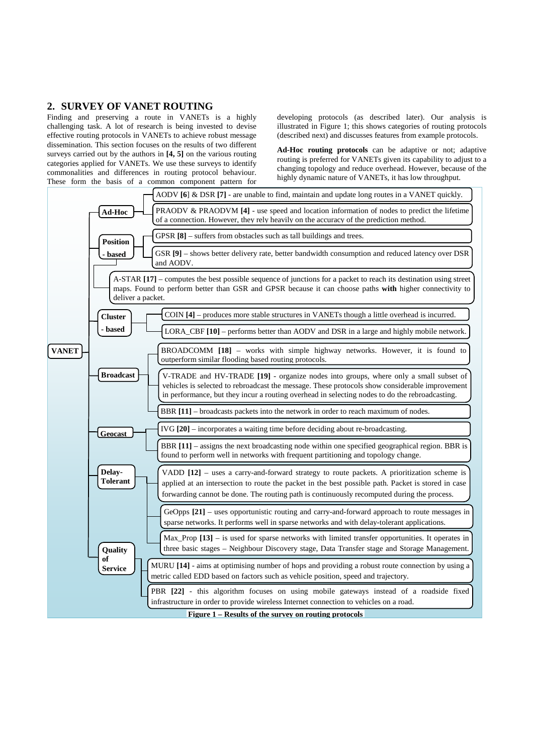# **2. SURVEY OF VANET ROUTING**

Finding and preserving a route in VANETs is a highly challenging task. A lot of research is being invested to devise effective routing protocols in VANETs to achieve robust message dissemination. This section focuses on the results of two different surveys carried out by the authors in **[4, 5]** on the various routing categories applied for VANETs. We use these surveys to identify commonalities and differences in routing protocol behaviour. These form the basis of a common component pattern for developing protocols (as described later). Our analysis is illustrated in Figure 1; this shows categories of routing protocols (described next) and discusses features from example protocols.

**Ad-Hoc routing protocols** can be adaptive or not; adaptive routing is preferred for VANETs given its capability to adjust to a changing topology and reduce overhead. However, because of the highly dynamic nature of VANETs, it has low throughput.



**Figure 1 – Results of the survey on routing protocols**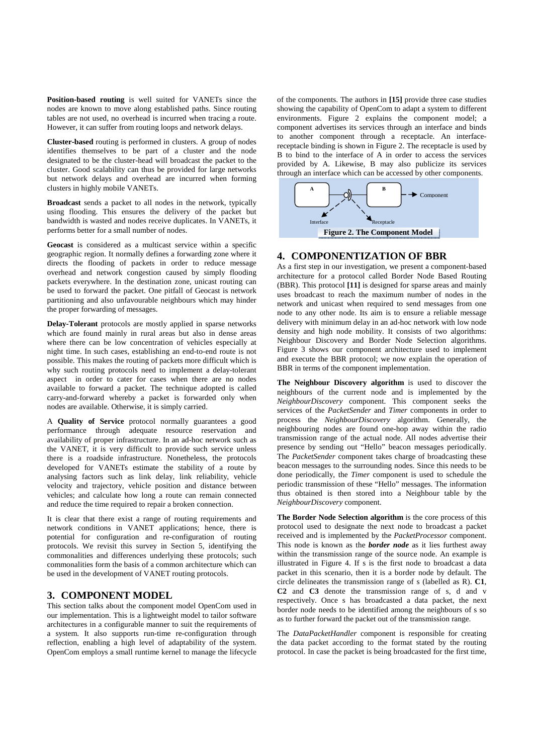**Position-based routing** is well suited for VANETs since the nodes are known to move along established paths. Since routing tables are not used, no overhead is incurred when tracing a route. However, it can suffer from routing loops and network delays.

**Cluster-based** routing is performed in clusters. A group of nodes identifies themselves to be part of a cluster and the node designated to be the cluster-head will broadcast the packet to the cluster. Good scalability can thus be provided for large networks but network delays and overhead are incurred when forming clusters in highly mobile VANETs.

**Broadcast** sends a packet to all nodes in the network, typically using flooding. This ensures the delivery of the packet but bandwidth is wasted and nodes receive duplicates. In VANETs, it performs better for a small number of nodes.

**Geocast** is considered as a multicast service within a specific geographic region. It normally defines a forwarding zone where it directs the flooding of packets in order to reduce message overhead and network congestion caused by simply flooding packets everywhere. In the destination zone, unicast routing can be used to forward the packet. One pitfall of Geocast is network partitioning and also unfavourable neighbours which may hinder the proper forwarding of messages.

**Delay-Tolerant** protocols are mostly applied in sparse networks which are found mainly in rural areas but also in dense areas where there can be low concentration of vehicles especially at night time. In such cases, establishing an end-to-end route is not possible. This makes the routing of packets more difficult which is why such routing protocols need to implement a delay-tolerant aspect in order to cater for cases when there are no nodes available to forward a packet. The technique adopted is called carry-and-forward whereby a packet is forwarded only when nodes are available. Otherwise, it is simply carried.

A **Quality of Service** protocol normally guarantees a good performance through adequate resource reservation and availability of proper infrastructure. In an ad-hoc network such as the VANET, it is very difficult to provide such service unless there is a roadside infrastructure. Nonetheless, the protocols developed for VANETs estimate the stability of a route by analysing factors such as link delay, link reliability, vehicle velocity and trajectory, vehicle position and distance between vehicles; and calculate how long a route can remain connected and reduce the time required to repair a broken connection.

It is clear that there exist a range of routing requirements and network conditions in VANET applications; hence, there is potential for configuration and re-configuration of routing protocols. We revisit this survey in Section 5, identifying the commonalities and differences underlying these protocols; such commonalities form the basis of a common architecture which can be used in the development of VANET routing protocols.

#### **3. COMPONENT MODEL**

This section talks about the component model OpenCom used in our implementation. This is a lightweight model to tailor software architectures in a configurable manner to suit the requirements of a system. It also supports run-time re-configuration through reflection, enabling a high level of adaptability of the system. OpenCom employs a small runtime kernel to manage the lifecycle of the components. The authors in **[15]** provide three case studies showing the capability of OpenCom to adapt a system to different environments. Figure 2 explains the component model; a component advertises its services through an interface and binds to another component through a receptacle. An interfacereceptacle binding is shown in Figure 2. The receptacle is used by B to bind to the interface of A in order to access the services provided by A. Likewise, B may also publicize its services through an interface which can be accessed by other components.



#### **4. COMPONENTIZATION OF BBR**

As a first step in our investigation, we present a component-based architecture for a protocol called Border Node Based Routing (BBR). This protocol **[11]** is designed for sparse areas and mainly uses broadcast to reach the maximum number of nodes in the network and unicast when required to send messages from one node to any other node. Its aim is to ensure a reliable message delivery with minimum delay in an ad-hoc network with low node density and high node mobility. It consists of two algorithms: Neighbour Discovery and Border Node Selection algorithms. Figure 3 shows our component architecture used to implement and execute the BBR protocol; we now explain the operation of BBR in terms of the component implementation.

**The Neighbour Discovery algorithm** is used to discover the neighbours of the current node and is implemented by the *NeighbourDiscovery* component. This component seeks the services of the *PacketSender* and *Timer* components in order to process the *NeighbourDiscovery* algorithm. Generally, the neighbouring nodes are found one-hop away within the radio transmission range of the actual node. All nodes advertise their presence by sending out "Hello" beacon messages periodically. The *PacketSender* component takes charge of broadcasting these beacon messages to the surrounding nodes. Since this needs to be done periodically, the *Timer* component is used to schedule the periodic transmission of these "Hello" messages. The information thus obtained is then stored into a Neighbour table by the *NeighbourDiscovery* component.

**The Border Node Selection algorithm** is the core process of this protocol used to designate the next node to broadcast a packet received and is implemented by the *PacketProcessor* component. This node is known as the *border node* as it lies furthest away within the transmission range of the source node. An example is illustrated in Figure 4. If s is the first node to broadcast a data packet in this scenario, then it is a border node by default. The circle delineates the transmission range of s (labelled as R). **C1**, **C2** and **C3** denote the transmission range of s, d and v respectively. Once s has broadcasted a data packet, the next border node needs to be identified among the neighbours of s so as to further forward the packet out of the transmission range.

The *DataPacketHandler* component is responsible for creating the data packet according to the format stated by the routing protocol. In case the packet is being broadcasted for the first time,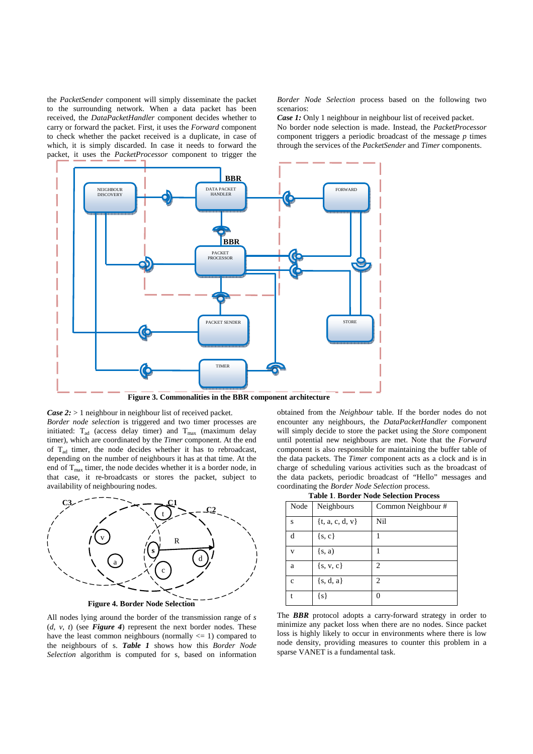the *PacketSender* component will simply disseminate the packet to the surrounding network. When a data packet has been received, the *DataPacketHandler* component decides whether to carry or forward the packet. First, it uses the *Forward* component to check whether the packet received is a duplicate, in case of which, it is simply discarded. In case it needs to forward the packet, it uses the *PacketProcessor* component to trigger the *Border Node Selection* process based on the following two scenarios:

*Case 1:* Only 1 neighbour in neighbour list of received packet. No border node selection is made. Instead, the *PacketProcessor* component triggers a periodic broadcast of the message *p* times through the services of the *PacketSender* and *Timer* components.



**Figure 3. Commonalities in the BBR component architecture** 

*Case 2:* > 1 neighbour in neighbour list of received packet. *Border node selection* is triggered and two timer processes are initiated:  $T_{ad}$  (access delay timer) and  $T_{max}$  (maximum delay timer), which are coordinated by the *Timer* component. At the end of  $T_{ad}$  timer, the node decides whether it has to rebroadcast, depending on the number of neighbours it has at that time. At the end of  $T_{\text{max}}$  timer, the node decides whether it is a border node, in that case, it re-broadcasts or stores the packet, subject to availability of neighbouring nodes.



**Figure 4. Border Node Selection** 

All nodes lying around the border of the transmission range of *s* (*d*, *v*, *t*) (see *Figure 4*) represent the next border nodes. These have the least common neighbours (normally  $\leq 1$ ) compared to the neighbours of s. *Table 1* shows how this *Border Node Selection* algorithm is computed for s, based on information obtained from the *Neighbour* table. If the border nodes do not encounter any neighbours, the *DataPacketHandler* component will simply decide to store the packet using the *Store* component until potential new neighbours are met. Note that the *Forward* component is also responsible for maintaining the buffer table of the data packets. The *Timer* component acts as a clock and is in charge of scheduling various activities such as the broadcast of the data packets, periodic broadcast of "Hello" messages and coordinating the *Border Node Selection* process.

|  |  |  |  |  | <b>Table 1. Border Node Selection Process</b> |  |
|--|--|--|--|--|-----------------------------------------------|--|
|--|--|--|--|--|-----------------------------------------------|--|

| Node         | Neighbours          | Common Neighbour# |  |  |  |  |
|--------------|---------------------|-------------------|--|--|--|--|
| S            | $\{t, a, c, d, v\}$ | Nil               |  |  |  |  |
| d            | ${s, c}$            |                   |  |  |  |  |
|              | $\{s, a\}$          |                   |  |  |  |  |
| a            | $\{s, v, c\}$       | 2                 |  |  |  |  |
| $\mathbf{C}$ | ${s, d, a}$         | $\overline{2}$    |  |  |  |  |
|              | $\{s\}$             | $\theta$          |  |  |  |  |

The *BBR* protocol adopts a carry-forward strategy in order to minimize any packet loss when there are no nodes. Since packet loss is highly likely to occur in environments where there is low node density, providing measures to counter this problem in a sparse VANET is a fundamental task.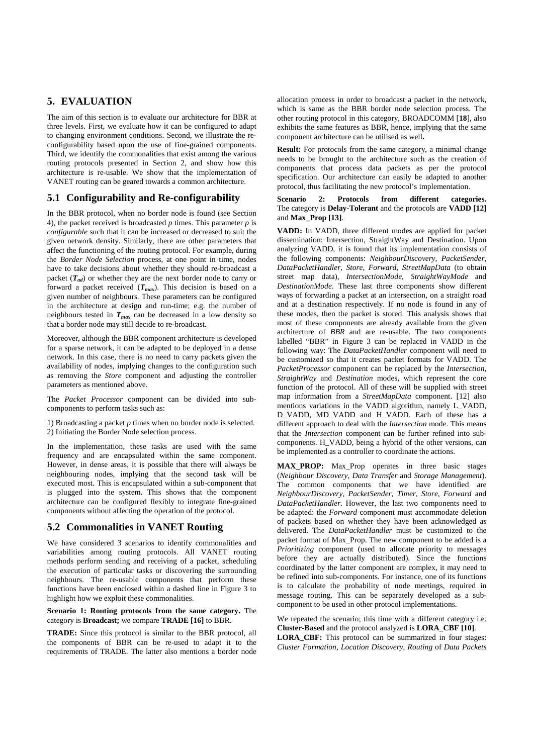# **5. EVALUATION**

The aim of this section is to evaluate our architecture for BBR at three levels. First, we evaluate how it can be configured to adapt to changing environment conditions. Second, we illustrate the reconfigurability based upon the use of fine-grained components. Third, we identify the commonalities that exist among the various routing protocols presented in Section 2, and show how this architecture is re-usable. We show that the implementation of VANET routing can be geared towards a common architecture.

# **5.1 Configurability and Re-configurability**

In the BBR protocol, when no border node is found (see Section 4), the packet received is broadcasted  $p$  times. This parameter  $p$  is *configurable* such that it can be increased or decreased to suit the given network density. Similarly, there are other parameters that affect the functioning of the routing protocol. For example, during the *Border Node Selection* process, at one point in time, nodes have to take decisions about whether they should re-broadcast a packet  $(T_{ad})$  or whether they are the next border node to carry or forward a packet received (*Tmax*). This decision is based on a given number of neighbours. These parameters can be configured in the architecture at design and run-time; e.g. the number of neighbours tested in *Tmax* can be decreased in a low density so that a border node may still decide to re-broadcast.

Moreover, although the BBR component architecture is developed for a sparse network, it can be adapted to be deployed in a dense network. In this case, there is no need to carry packets given the availability of nodes, implying changes to the configuration such as removing the *Store* component and adjusting the controller parameters as mentioned above.

The *Packet Processor* component can be divided into subcomponents to perform tasks such as:

1) Broadcasting a packet *p* times when no border node is selected. 2) Initiating the Border Node selection process.

In the implementation, these tasks are used with the same frequency and are encapsulated within the same component. However, in dense areas, it is possible that there will always be neighbouring nodes, implying that the second task will be executed most. This is encapsulated within a sub-component that is plugged into the system. This shows that the component architecture can be configured flexibly to integrate fine-grained components without affecting the operation of the protocol.

### **5.2 Commonalities in VANET Routing**

We have considered 3 scenarios to identify commonalities and variabilities among routing protocols. All VANET routing methods perform sending and receiving of a packet, scheduling the execution of particular tasks or discovering the surrounding neighbours. The re-usable components that perform these functions have been enclosed within a dashed line in Figure 3 to highlight how we exploit these commonalities.

**Scenario 1: Routing protocols from the same category.** The category is **Broadcast;** we compare **TRADE [16]** to BBR.

**TRADE:** Since this protocol is similar to the BBR protocol, all the components of BBR can be re-used to adapt it to the requirements of TRADE. The latter also mentions a border node

allocation process in order to broadcast a packet in the network, which is same as the BBR border node selection process. The other routing protocol in this category, BROADCOMM [**18**], also exhibits the same features as BBR, hence, implying that the same component architecture can be utilised as well**.**

**Result:** For protocols from the same category, a minimal change needs to be brought to the architecture such as the creation of components that process data packets as per the protocol specification. Our architecture can easily be adapted to another protocol, thus facilitating the new protocol's implementation.

#### **Scenario 2: Protocols from different categories.**  The category is **Delay-Tolerant** and the protocols are **VADD [12]** and **Max\_Prop [13]**.

**VADD:** In VADD, three different modes are applied for packet dissemination: Intersection, StraightWay and Destination. Upon analyzing VADD, it is found that its implementation consists of the following components: *NeighbourDiscovery*, *PacketSender*, *DataPacketHandler*, *Store*, *Forward*, *StreetMapData* (to obtain street map data), *IntersectionMode*, *StraightWayMode* and *DestinationMode*. These last three components show different ways of forwarding a packet at an intersection, on a straight road and at a destination respectively. If no node is found in any of these modes, then the packet is stored. This analysis shows that most of these components are already available from the given architecture of *BBR* and are re-usable. The two components labelled "BBR" in Figure 3 can be replaced in VADD in the following way: The *DataPacketHandler* component will need to be customized so that it creates packet formats for VADD. The *PacketProcessor* component can be replaced by the *Intersection*, *StraightWay* and *Destination* modes, which represent the core function of the protocol. All of these will be supplied with street map information from a *StreetMapData* component. [12] also mentions variations in the VADD algorithm, namely L\_VADD, D\_VADD, MD\_VADD and H\_VADD. Each of these has a different approach to deal with the *Intersection* mode. This means that the *Intersection* component can be further refined into subcomponents. H\_VADD, being a hybrid of the other versions, can be implemented as a controller to coordinate the actions.

**MAX\_PROP:** Max\_Prop operates in three basic stages (*Neighbour Discovery*, *Data Transfer* and *Storage Management*). The common components that we have identified are *NeighbourDiscovery*, *PacketSender, Timer*, *Store*, *Forward* and *DataPacketHandler*. However, the last two components need to be adapted: the *Forward* component must accommodate deletion of packets based on whether they have been acknowledged as delivered. The *DataPacketHandler* must be customized to the packet format of Max\_Prop. The new component to be added is a *Prioritizing* component (used to allocate priority to messages before they are actually distributed). Since the functions coordinated by the latter component are complex, it may need to be refined into sub-components. For instance, one of its functions is to calculate the probability of node meetings, required in message routing. This can be separately developed as a subcomponent to be used in other protocol implementations.

We repeated the scenario; this time with a different category i.e. **Cluster-Based** and the protocol analyzed is **LORA\_CBF [10]**. **LORA\_CBF:** This protocol can be summarized in four stages:

*Cluster Formation*, *Location Discovery*, *Routing* of *Data Packets*